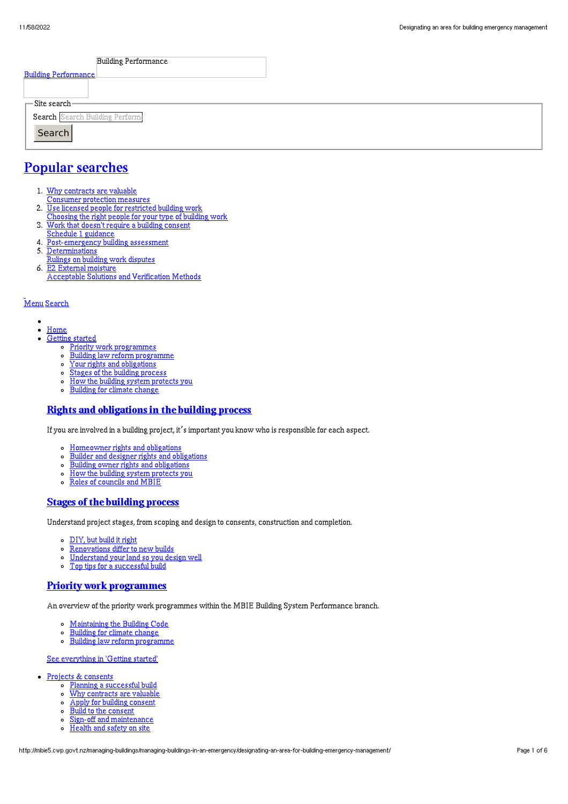| <b>Building Performance</b>     |  |
|---------------------------------|--|
| <b>Building Performance</b>     |  |
|                                 |  |
| $\Gamma$ Site search-           |  |
| Search Search Building Perform: |  |
| Search                          |  |
|                                 |  |

# Popular [searches](http://mbie5.cwp.govt.nz/#)

- 1. Why contracts are valuable
	- Consumer protection measures
- 2. Use licensed people for restricted building work
- Choosing the right people for your type of building work
- 3. Work that doesn't require a building consent
- Schedule 1 guidance
- 4. Post-emergency building assessment
- 5. Determinations
- Rulings on building work disputes 6. E2 External moisture
	- Acceptable Solutions and Verification Methods

#### [Menu](http://mbie5.cwp.govt.nz/#) [Search](http://mbie5.cwp.govt.nz/#)

- $\bullet$  $\bullet$ [Home](http://mbie5.cwp.govt.nz/)
- [Getting](http://mbie5.cwp.govt.nz/getting-started/) started
	- Priority work [programmes](http://mbie5.cwp.govt.nz/getting-started/priority-work-programmes/)
	- Building law reform [programme](http://mbie5.cwp.govt.nz/getting-started/building-law-reforms/)
	- Your rights and [obligations](http://mbie5.cwp.govt.nz/getting-started/your-rights-and-obligations/)
	- o Stages of the building [process](http://mbie5.cwp.govt.nz/getting-started/stages-of-the-building-process/)
	- How the building system [protects](http://mbie5.cwp.govt.nz/getting-started/how-the-building-system-protects-you/) you  $\circ$
	- [Building](http://mbie5.cwp.govt.nz/getting-started/building-for-climate-change/) for climate change  $\circ$

### Rights and [obligations](http://mbie5.cwp.govt.nz/getting-started/your-rights-and-obligations/) in the building process

If you are involved in a building project, it's important you know who is responsible for each aspect.

- [Homeowner](http://mbie5.cwp.govt.nz/getting-started/your-rights-and-obligations/homeowner-rights-and-obligations/) rights and obligations
- $\circ$ Builder and designer rights and [obligations](http://mbie5.cwp.govt.nz/getting-started/your-rights-and-obligations/builder-and-designer-rights-and-obligations/)
- $\circ$ Building owner rights and [obligations](http://mbie5.cwp.govt.nz/getting-started/your-rights-and-obligations/building-owner-rights-and-obligations/)
- $\circ$ How the building system [protects](http://mbie5.cwp.govt.nz/getting-started/how-the-building-system-protects-you/) you
- Roles of [councils](http://mbie5.cwp.govt.nz/getting-started/how-the-building-system-protects-you/roles-of-councils-and-mbie/) and MBIE

#### Stages of the [building](http://mbie5.cwp.govt.nz/getting-started/stages-of-the-building-process/) process

Understand project stages, from scoping and design to consents, construction and completion.

- [DIY,](http://mbie5.cwp.govt.nz/getting-started/stages-of-the-building-process/diy-but-build-it-right/) but build it right
- $\circ$ [Renovations](http://mbie5.cwp.govt.nz/getting-started/stages-of-the-building-process/renovations-differ-to-new-builds/) differ to new builds
- [Understand](http://mbie5.cwp.govt.nz/getting-started/stages-of-the-building-process/understand-your-land/) your land so you design well  $\circ$ Top tips for a [successful](http://mbie5.cwp.govt.nz/getting-started/stages-of-the-building-process/top-tips-for-building/) build  $\circ$

### Priority work [programmes](http://mbie5.cwp.govt.nz/getting-started/priority-work-programmes/)

An overview of the priority work programmes within the MBIE Building System Performance branch.

- [Maintaining](http://mbie5.cwp.govt.nz/building-code-compliance/annual-building-code-updates/) the Building Code
- [Building](http://mbie5.cwp.govt.nz/getting-started/building-for-climate-change/) for climate change  $\circ$
- $\circ$ Building law reform [programme](http://mbie5.cwp.govt.nz/getting-started/building-law-reforms/)

#### See [everything](http://mbie5.cwp.govt.nz/getting-started/) in 'Getting started'

- Projects & [consents](http://mbie5.cwp.govt.nz/projects-and-consents/)
	- o Planning a [successful](http://mbie5.cwp.govt.nz/projects-and-consents/planning-a-successful-build/) build
	- o Why [contracts](http://mbie5.cwp.govt.nz/projects-and-consents/why-contracts-are-valuable/) are valuable
	- Apply for building [consent](http://mbie5.cwp.govt.nz/projects-and-consents/apply-for-building-consent/)
	- Build to the [consent](http://mbie5.cwp.govt.nz/projects-and-consents/build-to-the-consent/)
	- $\sim$ Sign-off and [maintenance](http://mbie5.cwp.govt.nz/projects-and-consents/sign-off-and-maintenance/)
	- $\circ$ [Health](http://mbie5.cwp.govt.nz/projects-and-consents/health-and-safety-on-site/) and safety on site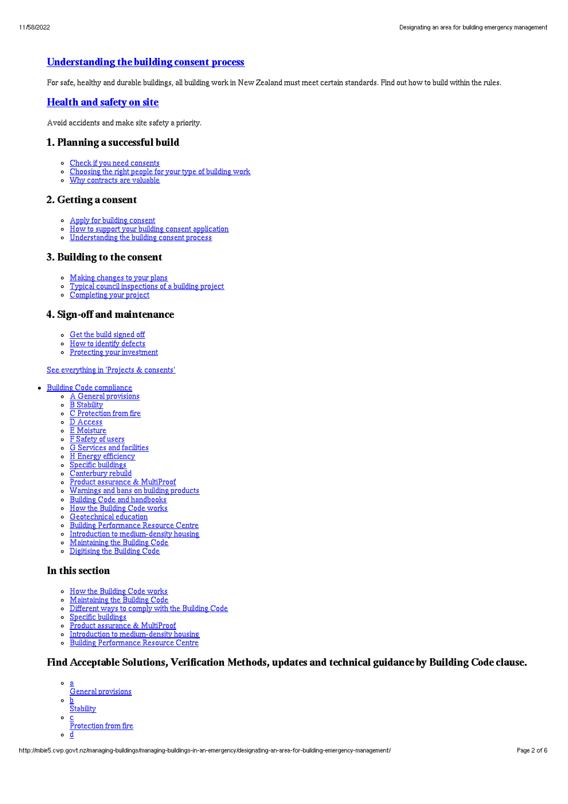# [Understanding](http://mbie5.cwp.govt.nz/projects-and-consents/apply-for-building-consent/building-consent-process/) the building consent process

For safe, healthy and durable buildings, all building work in New Zealand must meet certain standards. Find out how to build within the rules.

### [Health](http://mbie5.cwp.govt.nz/projects-and-consents/health-and-safety-on-site/) and safety on site

Avoid accidents and make site safety a priority.

### 1. Planning a successful build

- Check if you need [consents](http://mbie5.cwp.govt.nz/projects-and-consents/planning-a-successful-build/scope-and-design/check-if-you-need-consents/)
- [Choosing](http://mbie5.cwp.govt.nz/projects-and-consents/planning-a-successful-build/scope-and-design/choosing-the-right-people-for-your-type-of-building-work/) the right people for your type of building work
- Why [contracts](http://mbie5.cwp.govt.nz/projects-and-consents/why-contracts-are-valuable/) are valuable

#### 2. Getting a consent

- Apply for building [consent](http://mbie5.cwp.govt.nz/projects-and-consents/apply-for-building-consent/)
- How to support your building consent [application](http://mbie5.cwp.govt.nz/projects-and-consents/apply-for-building-consent/support-your-consent-application/)  $\sim$
- o [Understanding](http://mbie5.cwp.govt.nz/projects-and-consents/apply-for-building-consent/building-consent-process/) the building consent process

#### 3. Building to the consent

- Making [changes](http://mbie5.cwp.govt.nz/projects-and-consents/build-to-the-consent/making-changes-to-your-plans/) to your plans
- o Typical council [inspections](http://mbie5.cwp.govt.nz/projects-and-consents/build-to-the-consent/typical-council-inspections/) of a building project
- [Completing](http://mbie5.cwp.govt.nz/projects-and-consents/sign-off-and-maintenance/completing-your-project/) your project

## 4. Sign-off and maintenance

- Get the build [signed](http://mbie5.cwp.govt.nz/projects-and-consents/sign-off-and-maintenance/completing-your-project/get-the-build-signed-off/) off
- How to [identify](http://mbie5.cwp.govt.nz/projects-and-consents/sign-off-and-maintenance/completing-your-project/how-to-identify-defects/) defects
- o Protecting your [investment](http://mbie5.cwp.govt.nz/projects-and-consents/sign-off-and-maintenance/protecting-your-investment/)

#### See [everything](http://mbie5.cwp.govt.nz/projects-and-consents/) in 'Projects & consents'

- · Building Code [compliance](http://mbie5.cwp.govt.nz/building-code-compliance/)
	- A General [provisions](http://mbie5.cwp.govt.nz/building-code-compliance/a-general-provisions/)
	- o B [Stability](http://mbie5.cwp.govt.nz/building-code-compliance/b-stability/)
	- $\circ$   $\overline{C}$  [Protection](http://mbie5.cwp.govt.nz/building-code-compliance/c-protection-from-fire/) from fire
	- $\circ$   $\overline{D}$  [Access](http://mbie5.cwp.govt.nz/building-code-compliance/d-access/)
	- E [Moisture](http://mbie5.cwp.govt.nz/building-code-compliance/e-moisture/)
	- F [Safety](http://mbie5.cwp.govt.nz/building-code-compliance/f-safety-of-users/) of users G [Services](http://mbie5.cwp.govt.nz/building-code-compliance/g-services-and-facilities/) and facilities
	- o H Energy [efficiency](http://mbie5.cwp.govt.nz/building-code-compliance/h-energy-efficiency/)
	- Specific [buildings](http://mbie5.cwp.govt.nz/building-code-compliance/specific-buildings/)
	- o [Canterbury](http://mbie5.cwp.govt.nz/building-code-compliance/canterbury-rebuild/) rebuild
	- Product assurance & [MultiProof](http://mbie5.cwp.govt.nz/building-code-compliance/product-assurance-and-multiproof/)  $\circ$
	- [Warnings](http://mbie5.cwp.govt.nz/building-code-compliance/warnings-and-bans-on-building-products/) and bans on building products  $\circ$
	- o Building Code and [handbooks](http://mbie5.cwp.govt.nz/building-code-compliance/building-code-and-handbooks/)
	- $\circ$ How the [Building](http://mbie5.cwp.govt.nz/building-code-compliance/how-the-building-code-works/) Code works
	- $\alpha$ [Geotechnical](http://mbie5.cwp.govt.nz/building-code-compliance/geotechnical-education/) education
	- Building [Performance](http://mbie5.cwp.govt.nz/building-code-compliance/building-performance-resource-centre/) Resource Centre
	- o Introduction to [medium-density](http://mbie5.cwp.govt.nz/building-code-compliance/introduction-to-medium-density-housing/) housing
	- [Maintaining](http://mbie5.cwp.govt.nz/building-code-compliance/annual-building-code-updates/) the Building Code
	- [Digitising](http://mbie5.cwp.govt.nz/building-code-compliance/digitising-the-building-code/) the Building Code

#### In this section

- o How the [Building](http://mbie5.cwp.govt.nz/building-code-compliance/how-the-building-code-works/) Code works
- [Maintaining](http://mbie5.cwp.govt.nz/building-code-compliance/annual-building-code-updates/) the Building Code  $\circ$
- $\circ$ [Different](http://mbie5.cwp.govt.nz/building-code-compliance/how-the-building-code-works/different-ways-to-comply/) ways to comply with the Building Code
- Specific [buildings](http://mbie5.cwp.govt.nz/building-code-compliance/specific-buildings/)  $\circ$
- o Product assurance & [MultiProof](http://mbie5.cwp.govt.nz/building-code-compliance/product-assurance-and-multiproof/)
- $\circ$ Introduction to [medium-density](http://mbie5.cwp.govt.nz/building-code-compliance/introduction-to-medium-density-housing/) housing
- Building [Performance](http://mbie5.cwp.govt.nz/building-code-compliance/building-performance-resource-centre/) Resource Centre  $\circ$

# Find Acceptable Solutions, Verification Methods, updates and technical guidance by Building Code clause.

- a
- General provisions
- $\circ$ b **Stability**
- $\circ$ c
- Protection from fire
- $\circ$ d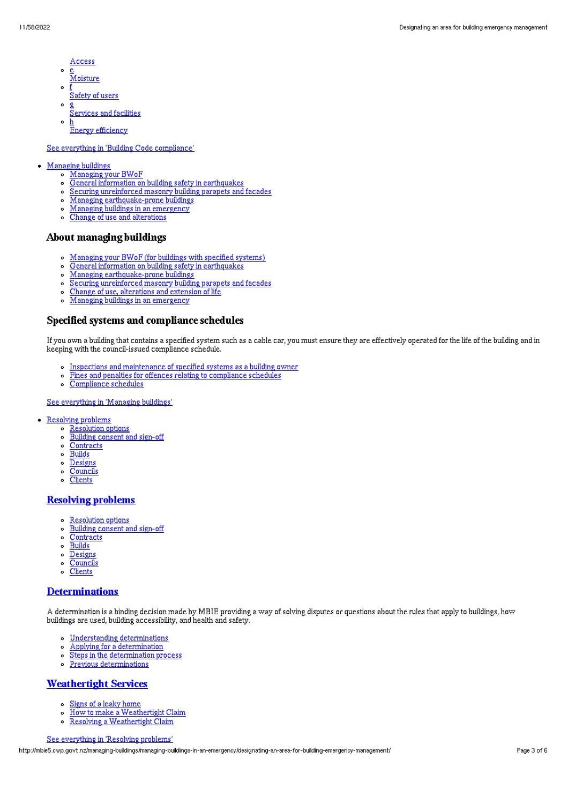- Access
- $\circ$ <u>e</u><br>Moisture
- $\sim$ f
- Safety of users  $\circ$
- g Services and facilities
- $\circ$ h **Energy efficiency**

#### See everything in 'Building Code [compliance](http://mbie5.cwp.govt.nz/building-code-compliance/)'

#### [Managing](http://mbie5.cwp.govt.nz/managing-buildings/) buildings

- [Managing](http://mbie5.cwp.govt.nz/managing-buildings/managing-your-bwof/) your BWoF
	- General information on building safety in [earthquakes](http://mbie5.cwp.govt.nz/managing-buildings/building-safety-in-earthquakes/)
	- Securing [unreinforced](http://mbie5.cwp.govt.nz/managing-buildings/unreinforced-masonry/) masonry building parapets and facades  $\circ$
	- Managing [earthquake-prone](http://mbie5.cwp.govt.nz/managing-buildings/managing-earthquake-prone-buildings/) buildings
	- Managing buildings in an [emergency](http://mbie5.cwp.govt.nz/managing-buildings/managing-buildings-in-an-emergency/)  $\circ$
	- Change of use and [alterations](http://mbie5.cwp.govt.nz/managing-buildings/change-of-use-and-alterations/)

### About managing buildings

- [Managing](http://mbie5.cwp.govt.nz/managing-buildings/managing-your-bwof/) your BWoF (for buildings with specified systems)
- General information on building safety in [earthquakes](http://mbie5.cwp.govt.nz/managing-buildings/building-safety-in-earthquakes/)  $\circ$
- $\circ$ Managing [earthquake-prone](http://mbie5.cwp.govt.nz/managing-buildings/managing-earthquake-prone-buildings/) buildings
- Securing [unreinforced](http://mbie5.cwp.govt.nz/managing-buildings/unreinforced-masonry/) masonry building parapets and facades  $\circ$
- Change of use, [alterations](http://mbie5.cwp.govt.nz/managing-buildings/change-of-use-and-alterations/) and extension of life
- Managing buildings in an [emergency](http://mbie5.cwp.govt.nz/managing-buildings/managing-buildings-in-an-emergency/)  $\sim$

### Specified systems and compliance schedules

If you own a building that contains a specified system such as a cable car, you must ensure they are effectively operated for the life of the building and in keeping with the council-issued compliance schedule.

- o Inspections and [maintenance](http://mbie5.cwp.govt.nz/managing-buildings/managing-your-bwof/inspections-and-maintenance/) of specified systems as a building owner
- Fines and penalties for offences relating to [compliance](http://mbie5.cwp.govt.nz/managing-buildings/managing-your-bwof/fines-and-penalties/) schedules  $\circ$
- [Compliance](http://mbie5.cwp.govt.nz/projects-and-consents/sign-off-and-maintenance/completing-your-project/compliance-schedules/) schedules  $\Omega$

See [everything](http://mbie5.cwp.govt.nz/managing-buildings/) in 'Managing buildings'

- [Resolving](http://mbie5.cwp.govt.nz/resolving-problems/) problems
	- o [Resolution](http://mbie5.cwp.govt.nz/resolving-problems/resolution-options/) options
	- $\circ$ [Building](http://mbie5.cwp.govt.nz/resolving-problems/building-consent-and-sign-off/) consent and sign-off
	- [Contracts](http://mbie5.cwp.govt.nz/resolving-problems/contracts/)
	- $\circ$  [Builds](http://mbie5.cwp.govt.nz/resolving-problems/builds/)
	- $\circ$ [Designs](http://mbie5.cwp.govt.nz/resolving-problems/designs/)
	- **[Councils](http://mbie5.cwp.govt.nz/resolving-problems/councils/)**  $\circ$
	- $\circ$ **[Clients](http://mbie5.cwp.govt.nz/resolving-problems/clients/)**

# [Resolving](http://mbie5.cwp.govt.nz/resolving-problems/) problems

- [Resolution](http://mbie5.cwp.govt.nz/resolving-problems/resolution-options/) options
- [Building](http://mbie5.cwp.govt.nz/resolving-problems/building-consent-and-sign-off/) consent and sign-off
- [Contracts](http://mbie5.cwp.govt.nz/resolving-problems/contracts/)
- $\circ$ [Builds](http://mbie5.cwp.govt.nz/resolving-problems/builds/)
- o [Designs](http://mbie5.cwp.govt.nz/resolving-problems/designs/)
- [Councils](http://mbie5.cwp.govt.nz/resolving-problems/councils/)
- **[Clients](http://mbie5.cwp.govt.nz/resolving-problems/clients/)**  $\circ$

#### [Determinations](http://mbie5.cwp.govt.nz/resolving-problems/resolution-options/determinations/)

A determination is a binding decision made by MBIE providing a way of solving disputes or questions about the rules that apply to buildings, how buildings are used, building accessibility, and health and safety.

- Understanding [determinations](http://mbie5.cwp.govt.nz/resolving-problems/resolution-options/determinations/)
- Applying for a [determination](http://mbie5.cwp.govt.nz/resolving-problems/resolution-options/determinations/applying-for-a-determination/)  $\circ$
- Steps in the [determination](http://mbie5.cwp.govt.nz/resolving-problems/resolution-options/determinations/steps-in-the-determination-process/) process  $\circ$
- Previous [determinations](http://mbie5.cwp.govt.nz/resolving-problems/resolution-options/determinations/determinations-issued/)  $\circ$

# [Weathertight](http://mbie5.cwp.govt.nz/resolving-problems/resolution-options/weathertight-services/) Services

- Signs of a leaky [home](http://mbie5.cwp.govt.nz/resolving-problems/resolution-options/weathertight-services/signs-of-a-leaky-home/)  $\circ$
- How to make a [Weathertight](http://mbie5.cwp.govt.nz/resolving-problems/resolution-options/weathertight-services/make-a-weathertight-home-claim/) Claim  $\circ$
- Resolving a [Weathertight](http://mbie5.cwp.govt.nz/resolving-problems/resolution-options/weathertight-services/resolving-a-claim/) Claim  $\circ$

#### See [everything](http://mbie5.cwp.govt.nz/resolving-problems/) in 'Resolving problems'

http://mbie5.cwp.govt.nz/managing-buildings/managing-buildings-in-an-emergency/designating-an-area-for-building-emergency-management/ Page 3 of 6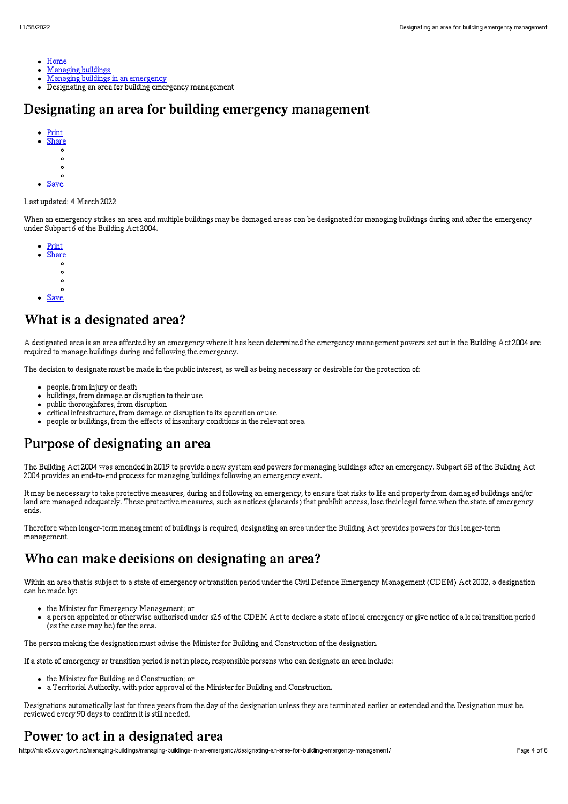- [Home](http://mbie5.cwp.govt.nz/)
- $\bullet$ [Managing](http://mbie5.cwp.govt.nz/managing-buildings/) buildings
- Managing buildings in an [emergency](http://mbie5.cwp.govt.nz/managing-buildings/managing-buildings-in-an-emergency/)  $\bullet$
- Designating an area for building emergency management  $\bullet$

# Designating an area for building emergency management

- [Print](http://mbie5.cwp.govt.nz/#) [Share](http://mbie5.cwp.govt.nz/#)
- $\circ$
- $\circ$
- $\circ$  $\sim$
- **[Save](http://mbie5.cwp.govt.nz/managing-buildings/managing-buildings-in-an-emergency/designating-an-area-for-building-emergency-management/downloadpdf)**

#### Last updated: 4 March 2022

When an emergency strikes an area and multiple buildings may be damaged areas can be designated for managing buildings during and after the emergency under Subpart 6 of the Building Act 2004.

- **[Print](http://mbie5.cwp.govt.nz/#)**
- **[Share](http://mbie5.cwp.govt.nz/#)**  $\circ$ 
	- $\Omega$
	- $\circ$
- $\circ$
- [Save](http://mbie5.cwp.govt.nz/managing-buildings/managing-buildings-in-an-emergency/designating-an-area-for-building-emergency-management/downloadpdf)

# What is a designated area?

A designated area is an area affected by an emergency where it has been determined the emergency management powers set out in the Building Act 2004 are required to manage buildings during and following the emergency.

The decision to designate must be made in the public interest, as well as being necessary or desirable for the protection of:

- people, from injury or death
- buildings, from damage or disruption to their use  $\bullet$
- public thoroughfares, from disruption
- critical infrastructure, from damage or disruption to its operation or use
- people or buildings, from the effects of insanitary conditions in the relevant area.

# Purpose of designating an area

The Building Act 2004 was amended in 2019 to provide a new system and powers for managing buildings after an emergency. Subpart 6B of the Building Act 2004 provides an end-to-end process for managing buildings following an emergency event.

It may be necessary to take protective measures, during and following an emergency, to ensure that risks to life and property from damaged buildings and/or land are managed adequately. These protective measures, such as notices (placards) that prohibit access, lose their legal force when the state of emergency ends.

Therefore when longer-term management of buildings is required, designating an area under the Building Act provides powers for this longer-term management.

# Who can make decisions on designating an area?

Within an area that is subject to a state of emergency or transition period under the Civil Defence Emergency Management (CDEM) Act 2002, a designation can be made by:

- the Minister for Emergency Management; or
- a person appointed or otherwise authorised under s25 of the CDEM Act to declare a state of local emergency or give notice of a local transition period (as the case may be) for the area.

The person making the designation must advise the Minister for Building and Construction of the designation.

If a state of emergency or transition period is not in place, responsible persons who can designate an area include:

- the Minister for Building and Construction; or
- a Territorial Authority, with prior approval of the Minister for Building and Construction.

Designations automatically last for three years from the day of the designation unless they are terminated earlier or extended and the Designation must be reviewed every 90 days to confirm it is still needed.

# Power to act in a designated area

http://mbie5.cwp.govt.nz/managing-buildings/managing-buildings-in-an-emergency/designating-an-area-for-building-emergency-management/ Page 4 of 6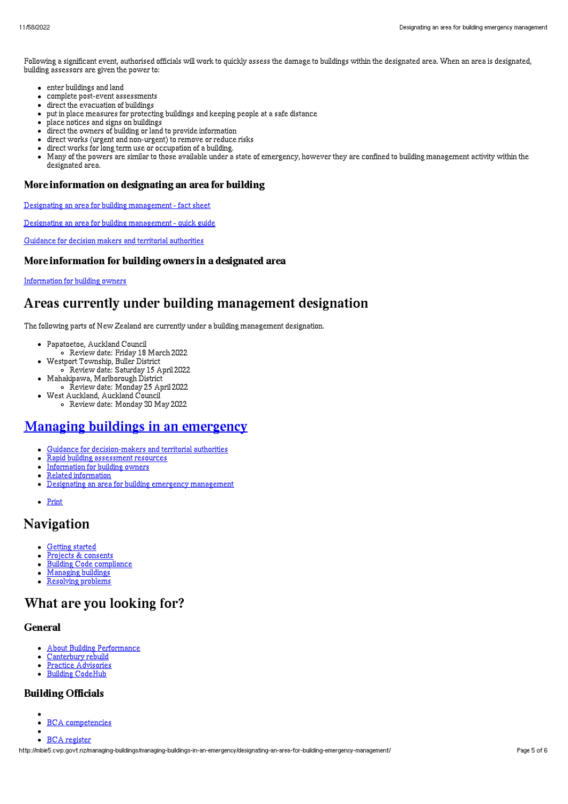Following a significant event, authorised officials will work to quickly assess the damage to buildings within the designated area. When an area is designated, building assessors are given the power to:

- enter buildings and land
- $\bullet$ complete post-event assessments
- direct the evacuation of buildings
- put in place measures for protecting buildings and keeping people at a safe distance
- place notices and signs on buildings  $\bullet$
- direct the owners of building or land to provide information
- direct works (urgent and non-urgent) to remove or reduce risks
- direct works for long term use or occupation of a building.
- Many of the powers are similar to those available under a state of emergency, however they are confined to building management activity within the  $\bullet$ designated area.

### More information on designating an area for building

Designating an area for building [management](http://mbie5.cwp.govt.nz/assets/Uploads/managing-buildings/designating-an-area-for-building-fact-sheet.pdf) - fact sheet

Designating an area for building [management](http://mbie5.cwp.govt.nz/assets/Uploads/managing-buildings/designating-an-area-for-building-quick-guide.pdf) - quick guide

Guidance for decision makers and territorial [authorities](http://mbie5.cwp.govt.nz/managing-buildings/managing-buildings-in-an-emergency/guidance-for-decision-makers-and-territorial-authorities/)

### More information for building owners in a designated area

[Information](http://mbie5.cwp.govt.nz/managing-buildings/managing-buildings-in-an-emergency/information-for-building-owners/) for building owners

# Areas currently under building management designation

The following parts of New Zealand are currently under a building management designation.

- Papatoetoe, Auckland Council
- Review date: Friday 18 March 2022 Westport Township, Buller District
- Review date: Saturday 15 April 2022
- Mahakipawa, Marlborough District Review date: Monday 25 April 2022
- West Auckland, Auckland Council
	- Review date: Monday 30 May 2022

# Managing buildings in an [emergency](http://mbie5.cwp.govt.nz/managing-buildings/managing-buildings-in-an-emergency/)

- Guidance for [decision-makers](http://mbie5.cwp.govt.nz/managing-buildings/managing-buildings-in-an-emergency/guidance-for-decision-makers-and-territorial-authorities/) and territorial authorities
- $\bullet$ Rapid building [assessment](http://mbie5.cwp.govt.nz/managing-buildings/managing-buildings-in-an-emergency/rapid-building-assessment-resources/) resources
- [Information](http://mbie5.cwp.govt.nz/managing-buildings/managing-buildings-in-an-emergency/information-for-building-owners/) for building owners  $\bullet$
- Related [information](http://mbie5.cwp.govt.nz/managing-buildings/managing-buildings-in-an-emergency/related-information/)  $\bullet$
- Designating an area for building emergency [management](http://mbie5.cwp.govt.nz/managing-buildings/managing-buildings-in-an-emergency/designating-an-area-for-building-emergency-management/)  $\bullet$
- [Print](http://mbie5.cwp.govt.nz/#)

# Navigation

- [Getting](http://mbie5.cwp.govt.nz/getting-started/) started  $\bullet$
- $\bullet$ Projects & [consents](http://mbie5.cwp.govt.nz/projects-and-consents/)
- $\bullet$ Building Code [compliance](http://mbie5.cwp.govt.nz/building-code-compliance/)  $\bullet$
- [Managing](http://mbie5.cwp.govt.nz/managing-buildings/) buildings [Resolving](http://mbie5.cwp.govt.nz/resolving-problems/) problems

# What are you looking for?

### General

- About Building [Performance](http://mbie5.cwp.govt.nz/about-building-performance/)
- [Canterbury](http://mbie5.cwp.govt.nz/building-code-compliance/canterbury-rebuild/) rebuild
- Practice [Advisories](http://mbie5.cwp.govt.nz/search/?keyword=practice+advisory&search=)
- Building [CodeHub](https://codehub.building.govt.nz)  $\bullet$

# Building Officials

- BCA [competencies](http://mbie5.cwp.govt.nz/building-officials/national-bca-competency-assessment-system/)  $\bullet$
- BCA [register](http://mbie5.cwp.govt.nz/building-officials/find-a-bca/)  $\bullet$